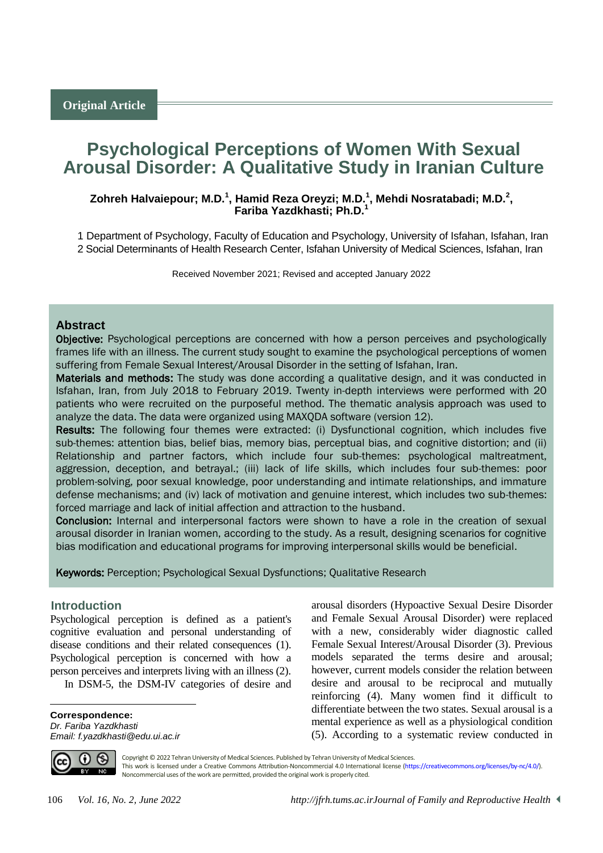# **Psychological Perceptions of Women With Sexual Arousal Disorder: A Qualitative Study in Iranian Culture**

# **Zohreh Halvaiepour; M.D.<sup>1</sup> , Hamid Reza Oreyzi; M.D.<sup>1</sup> , Mehdi Nosratabadi; M.D.<sup>2</sup> , Fariba Yazdkhasti; Ph.D.<sup>1</sup>**

1 Department of Psychology, Faculty of Education and Psychology, University of Isfahan, Isfahan, Iran 2 Social Determinants of Health Research Center, Isfahan University of Medical Sciences, Isfahan, Iran

Received November 2021; Revised and accepted January 2022

## **Abstract**

Objective: Psychological perceptions are concerned with how a person perceives and psychologically frames life with an illness. The current study sought to examine the psychological perceptions of women suffering from Female Sexual Interest/Arousal Disorder in the setting of Isfahan, Iran.

Materials and methods: The study was done according a qualitative design, and it was conducted in Isfahan, Iran, from July 2018 to February 2019. Twenty in-depth interviews were performed with 20 patients who were recruited on the purposeful method. The thematic analysis approach was used to analyze the data. The data were organized using MAXQDA software (version 12).

Results: The following four themes were extracted: (i) Dysfunctional cognition, which includes five sub-themes: attention bias, belief bias, memory bias, perceptual bias, and cognitive distortion; and (ii) Relationship and partner factors, which include four sub-themes: psychological maltreatment, aggression, deception, and betrayal.; (iii) lack of life skills, which includes four sub-themes: poor problem-solving, poor sexual knowledge, poor understanding and intimate relationships, and immature defense mechanisms; and (iv) lack of motivation and genuine interest, which includes two sub-themes: forced marriage and lack of initial affection and attraction to the husband.

Conclusion: Internal and interpersonal factors were shown to have a role in the creation of sexual arousal disorder in Iranian women, according to the study. As a result, designing scenarios for cognitive bias modification and educational programs for improving interpersonal skills would be beneficial.

#### Keywords: Perception; Psychological Sexual Dysfunctions; Qualitative Research

### <sup>1</sup>**Introduction**

Psychological perception is defined as a patient's cognitive evaluation and personal understanding of disease conditions and their related consequences (1). Psychological perception is concerned with how a person perceives and interprets living with an illness (2).

In DSM-5, the DSM-IV categories of desire and

**Correspondence:** *Dr. Fariba Yazdkhasti Email: f.yazdkhasti@edu.ui.ac.ir* arousal disorders (Hypoactive Sexual Desire Disorder and Female Sexual Arousal Disorder) were replaced with a new, considerably wider diagnostic called Female Sexual Interest/Arousal Disorder (3). Previous models separated the terms desire and arousal; however, current models consider the relation between desire and arousal to be reciprocal and mutually reinforcing (4). Many women find it difficult to differentiate between the two states. Sexual arousal is a mental experience as well as a physiological condition (5). According to a systematic review conducted in



 $\overline{a}$ 

Copyright © 2022 Tehran University of Medical Sciences. Published by Tehran University of Medical Sciences. This work is licensed under a Creative Commons Attribution-Noncommercial 4.0 International license [\(https://creativecommons.org/licenses/by-nc/4.0/\)](https://creativecommons.org/licenses/by-nc/4.0/). Noncommercial uses of the work are permitted, provided the original work is properly cited.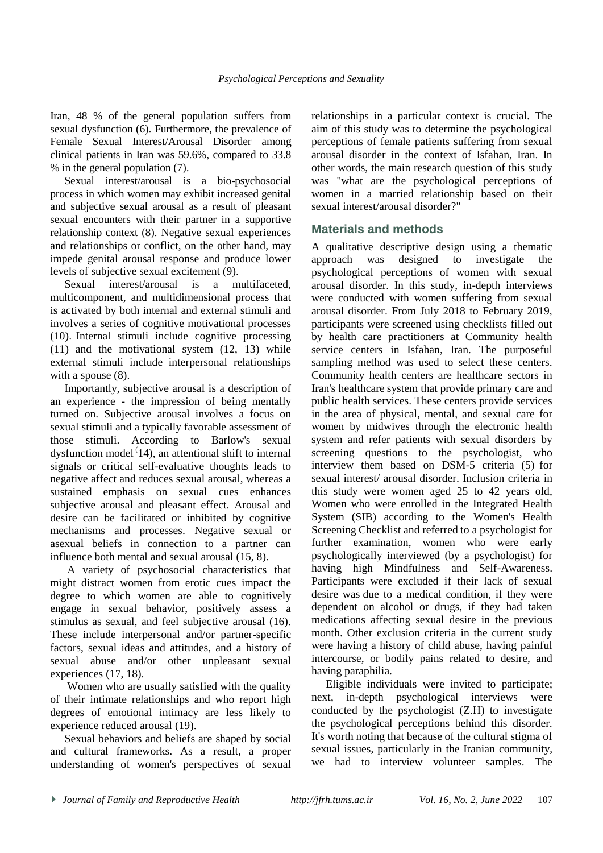Iran, 48 % of the general population suffers from sexual dysfunction (6). Furthermore, the prevalence of Female Sexual Interest/Arousal Disorder among clinical patients in Iran was 59.6%, compared to 33.8 % in the general population (7).

Sexual interest/arousal is a bio-psychosocial process in which women may exhibit increased genital and subjective sexual arousal as a result of pleasant sexual encounters with their partner in a supportive relationship context (8). Negative sexual experiences and relationships or conflict, on the other hand, may impede genital arousal response and produce lower levels of subjective sexual excitement (9).

Sexual interest/arousal is a multifaceted, multicomponent, and multidimensional process that is activated by both internal and external stimuli and involves a series of cognitive motivational processes (10). Internal stimuli include cognitive processing (11) and the motivational system (12, 13) while external stimuli include interpersonal relationships with a spouse (8).

Importantly, subjective arousal is a description of an experience - the impression of being mentally turned on. Subjective arousal involves a focus on sexual stimuli and a typically favorable assessment of those stimuli. According to Barlow's sexual dysfunction model  $(14)$ , an attentional shift to internal signals or critical self-evaluative thoughts leads to negative affect and reduces sexual arousal, whereas a sustained emphasis on sexual cues enhances subjective arousal and pleasant effect. Arousal and desire can be facilitated or inhibited by cognitive mechanisms and processes. Negative sexual or asexual beliefs in connection to a partner can influence both mental and sexual arousal (15, 8).

A variety of psychosocial characteristics that might distract women from erotic cues impact the degree to which women are able to cognitively engage in sexual behavior, positively assess a stimulus as sexual, and feel subjective arousal (16). These include interpersonal and/or partner-specific factors, sexual ideas and attitudes, and a history of sexual abuse and/or other unpleasant sexual experiences (17, 18).

Women who are usually satisfied with the quality of their intimate relationships and who report high degrees of emotional intimacy are less likely to experience reduced arousal (19).

Sexual behaviors and beliefs are shaped by social and cultural frameworks. As a result, a proper understanding of women's perspectives of sexual relationships in a particular context is crucial. The aim of this study was to determine the psychological perceptions of female patients suffering from sexual arousal disorder in the context of Isfahan, Iran. In other words, the main research question of this study was "what are the psychological perceptions of women in a married relationship based on their sexual interest/arousal disorder?"

# **Materials and methods**

A qualitative descriptive design using a thematic approach was designed to investigate the psychological perceptions of women with sexual arousal disorder. In this study, in-depth interviews were conducted with women suffering from sexual arousal disorder. From July 2018 to February 2019, participants were screened using checklists filled out by health care practitioners at Community health service centers in Isfahan, Iran. The purposeful sampling method was used to select these centers. Community health centers are healthcare sectors in Iran's healthcare system that provide primary care and public health services. These centers provide services in the area of physical, mental, and sexual care for women by midwives through the electronic health system and refer patients with sexual disorders by screening questions to the psychologist, who interview them based on DSM-5 criteria (5) for sexual interest/ arousal disorder. Inclusion criteria in this study were women aged 25 to 42 years old, Women who were enrolled in the Integrated Health System (SIB) according to the Women's Health Screening Checklist and referred to a psychologist for further examination, women who were early psychologically interviewed (by a psychologist) for having high Mindfulness and Self-Awareness. Participants were excluded if their lack of sexual desire was due to a medical condition, if they were dependent on alcohol or drugs, if they had taken medications affecting sexual desire in the previous month. Other exclusion criteria in the current study were having a history of child abuse, having painful intercourse, or bodily pains related to desire, and having paraphilia.

Eligible individuals were invited to participate; next, in-depth psychological interviews were conducted by the psychologist (Z.H) to investigate the psychological perceptions behind this disorder. It's worth noting that because of the cultural stigma of sexual issues, particularly in the Iranian community, we had to interview volunteer samples. The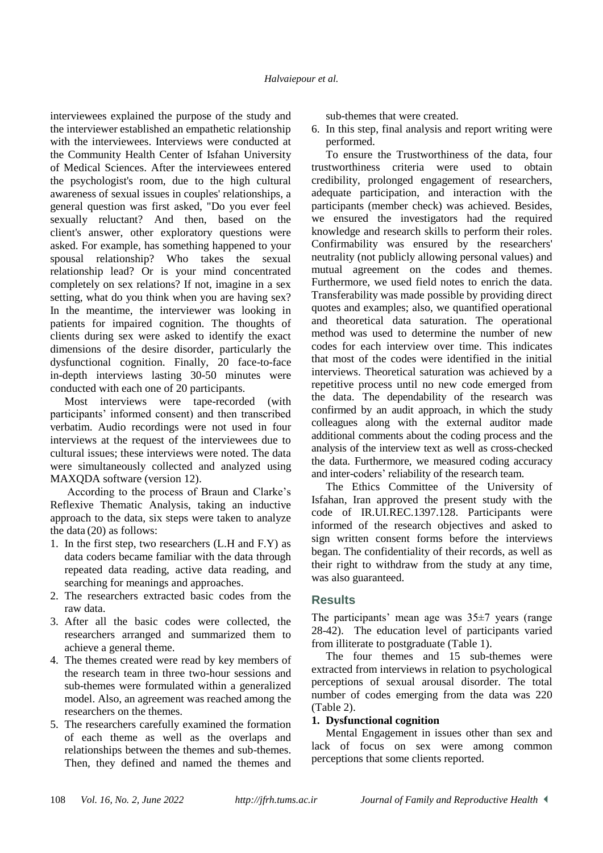interviewees explained the purpose of the study and the interviewer established an empathetic relationship with the interviewees. Interviews were conducted at the Community Health Center of Isfahan University of Medical Sciences. After the interviewees entered the psychologist's room, due to the high cultural awareness of sexual issues in couples' relationships, a general question was first asked, "Do you ever feel sexually reluctant? And then, based on the client's answer, other exploratory questions were asked. For example, has something happened to your spousal relationship? Who takes the sexual relationship lead? Or is your mind concentrated completely on sex relations? If not, imagine in a sex setting, what do you think when you are having sex? In the meantime, the interviewer was looking in patients for impaired cognition. The thoughts of clients during sex were asked to identify the exact dimensions of the desire disorder, particularly the dysfunctional cognition. Finally, 20 face-to-face in-depth interviews lasting 30-50 minutes were conducted with each one of 20 participants.

Most interviews were tape-recorded (with participants' informed consent) and then transcribed verbatim. Audio recordings were not used in four interviews at the request of the interviewees due to cultural issues; these interviews were noted. The data were simultaneously collected and analyzed using MAXQDA software (version 12).

According to the process of Braun and Clarke's Reflexive Thematic Analysis, taking an inductive approach to the data, six steps were taken to analyze the data (20) as follows:

- 1. In the first step, two researchers (L.H and F.Y) as data coders became familiar with the data through repeated data reading, active data reading, and searching for meanings and approaches.
- 2. The researchers extracted basic codes from the raw data.
- 3. After all the basic codes were collected, the researchers arranged and summarized them to achieve a general theme.
- 4. The themes created were read by key members of the research team in three two-hour sessions and sub-themes were formulated within a generalized model. Also, an agreement was reached among the researchers on the themes.
- 5. The researchers carefully examined the formation of each theme as well as the overlaps and relationships between the themes and sub-themes. Then, they defined and named the themes and

sub-themes that were created.

6. In this step, final analysis and report writing were performed.

To ensure the Trustworthiness of the data, four trustworthiness criteria were used to obtain credibility, prolonged engagement of researchers, adequate participation, and interaction with the participants (member check) was achieved. Besides, we ensured the investigators had the required knowledge and research skills to perform their roles. Confirmability was ensured by the researchers' neutrality (not publicly allowing personal values) and mutual agreement on the codes and themes. Furthermore, we used field notes to enrich the data. Transferability was made possible by providing direct quotes and examples; also, we quantified operational and theoretical data saturation. The operational method was used to determine the number of new codes for each interview over time. This indicates that most of the codes were identified in the initial interviews. Theoretical saturation was achieved by a repetitive process until no new code emerged from the data. The dependability of the research was confirmed by an audit approach, in which the study colleagues along with the external auditor made additional comments about the coding process and the analysis of the interview text as well as cross-checked the data. Furthermore, we measured coding accuracy and inter-coders' reliability of the research team.

The Ethics Committee of the University of Isfahan, Iran approved the present study with the code of IR.UI.REC.1397.128. Participants were informed of the research objectives and asked to sign written consent forms before the interviews began. The confidentiality of their records, as well as their right to withdraw from the study at any time, was also guaranteed.

# **Results**

The participants' mean age was  $35\pm7$  years (range 28-42). The education level of participants varied from illiterate to postgraduate (Table 1).

The four themes and 15 sub-themes were extracted from interviews in relation to psychological perceptions of sexual arousal disorder. The total number of codes emerging from the data was 220 (Table 2).

# **1. Dysfunctional cognition**

Mental Engagement in issues other than sex and lack of focus on sex were among common perceptions that some clients reported.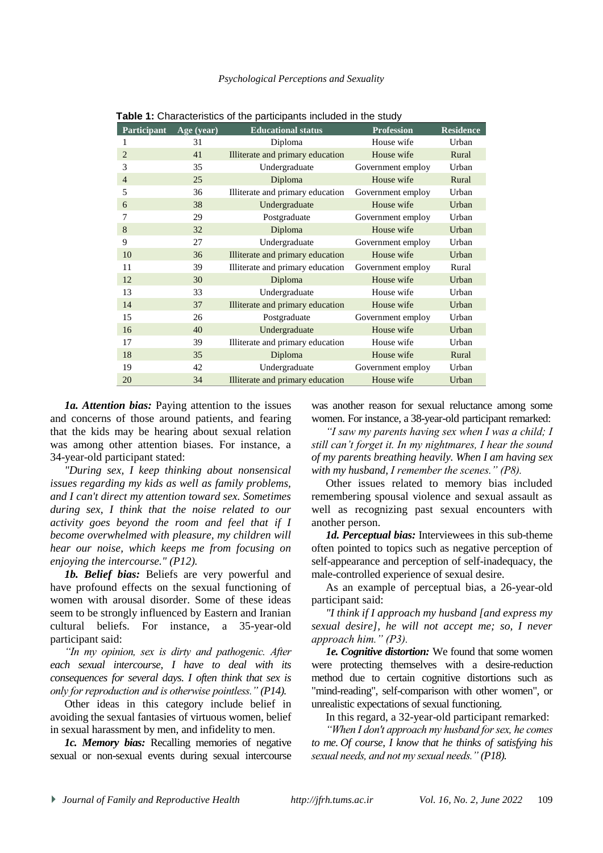| <b>Participant</b> | Age (year) | <b>Educational status</b>                      | <b>Profession</b> | <b>Residence</b> |  |
|--------------------|------------|------------------------------------------------|-------------------|------------------|--|
| 1                  | 31         | Diploma<br>House wife                          |                   | Urban            |  |
| $\overline{2}$     | 41         | Illiterate and primary education               | House wife        | Rural            |  |
| 3                  | 35         | Undergraduate                                  | Government employ | Urban            |  |
| $\overline{4}$     | 25         | Diploma                                        | House wife        | Rural            |  |
| 5                  | 36         | Illiterate and primary education               | Government employ | Urban            |  |
| 6                  | 38         | Undergraduate                                  | House wife        | Urban            |  |
| 7                  | 29         | Postgraduate                                   | Government employ | Urban            |  |
| 8                  | 32         | House wife<br>Diploma                          |                   | Urban            |  |
| 9                  | 27         | Undergraduate                                  | Government employ | Urban            |  |
| 10                 | 36         | Illiterate and primary education<br>House wife |                   | Urban            |  |
| 11                 | 39         | Illiterate and primary education               | Government employ | Rural            |  |
| 12                 | 30         | Diploma                                        | House wife        | Urban            |  |
| 13                 | 33         | Undergraduate<br>House wife                    |                   | Urban            |  |
| 14                 | 37         | Illiterate and primary education<br>House wife |                   | Urban            |  |
| 15                 | 26         | Postgraduate<br>Government employ              |                   | Urban            |  |
| 16                 | 40         | Undergraduate<br>House wife                    |                   | Urban            |  |
| 17                 | 39         | Illiterate and primary education<br>House wife |                   | Urban            |  |
| 18                 | 35         | Diploma<br>House wife                          |                   | Rural            |  |
| 19                 | 42         | Undergraduate                                  | Government employ | Urban            |  |
| 20                 | 34         | Illiterate and primary education               | House wife        | Urban            |  |

**Table 1:** Characteristics of the participants included in the study

*1a. Attention bias:* Paying attention to the issues and concerns of those around patients, and fearing that the kids may be hearing about sexual relation was among other attention biases. For instance, a 34-year-old participant stated:

*"During sex, I keep thinking about nonsensical issues regarding my kids as well as family problems, and I can't direct my attention toward sex. Sometimes during sex, I think that the noise related to our activity goes beyond the room and feel that if I become overwhelmed with pleasure, my children will hear our noise, which keeps me from focusing on enjoying the intercourse." (P12).*

*1b. Belief bias:* Beliefs are very powerful and have profound effects on the sexual functioning of women with arousal disorder. Some of these ideas seem to be strongly influenced by Eastern and Iranian cultural beliefs. For instance, a 35-year-old participant said:

*"In my opinion, sex is dirty and pathogenic. After each sexual intercourse, I have to deal with its consequences for several days. I often think that sex is only for reproduction and is otherwise pointless." (P14).*

Other ideas in this category include belief in avoiding the sexual fantasies of virtuous women, belief in sexual harassment by men, and infidelity to men.

*1c. Memory bias:* Recalling memories of negative sexual or non-sexual events during sexual intercourse was another reason for sexual reluctance among some women. For instance, a 38-year-old participant remarked:

*"I saw my parents having sex when I was a child; I still can't forget it. In my nightmares, I hear the sound of my parents breathing heavily. When I am having sex with my husband, I remember the scenes." (P8).*

Other issues related to memory bias included remembering spousal violence and sexual assault as well as recognizing past sexual encounters with another person.

*1d. Perceptual bias:* Interviewees in this sub-theme often pointed to topics such as negative perception of self-appearance and perception of self-inadequacy, the male-controlled experience of sexual desire.

As an example of perceptual bias, a 26-year-old participant said:

*"I think if I approach my husband [and express my sexual desire], he will not accept me; so, I never approach him." (P3).*

*1e. Cognitive distortion:* We found that some women were protecting themselves with a desire-reduction method due to certain cognitive distortions such as "mind-reading", self-comparison with other women", or unrealistic expectations of sexual functioning.

In this regard, a 32-year-old participant remarked:

*"When I don't approach my husband for sex, he comes to me. Of course, I know that he thinks of satisfying his sexual needs, and not my sexual needs." (P18).*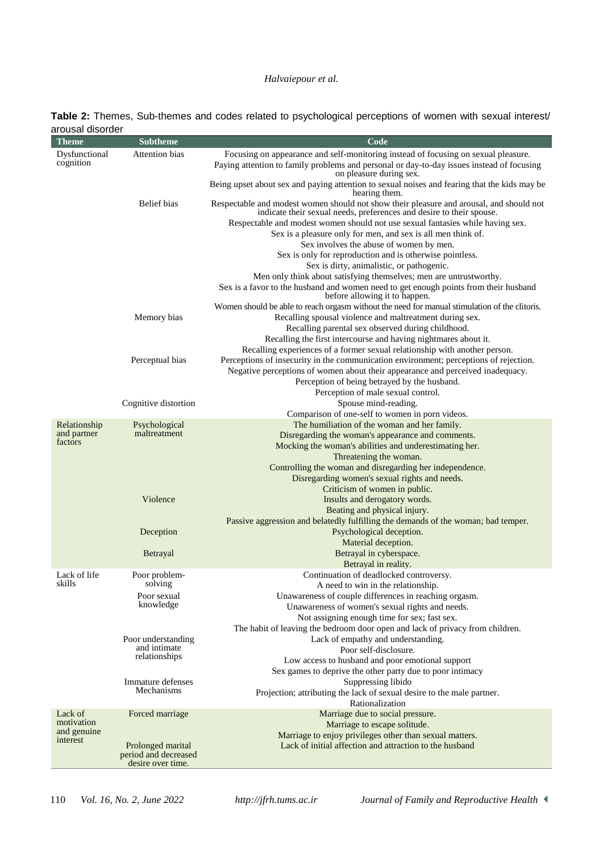## *Halvaiepour et al.*

| Table 2: Themes, Sub-themes and codes related to psychological perceptions of women with sexual interest/ |  |  |  |  |
|-----------------------------------------------------------------------------------------------------------|--|--|--|--|
| arousal disorder                                                                                          |  |  |  |  |

| aruusar uisuru <del>c</del> i<br><b>Theme</b> | <b>Subtheme</b>                           | Code                                                                                                                                                            |
|-----------------------------------------------|-------------------------------------------|-----------------------------------------------------------------------------------------------------------------------------------------------------------------|
| Dysfunctional                                 | Attention bias                            | Focusing on appearance and self-monitoring instead of focusing on sexual pleasure.                                                                              |
| cognition                                     |                                           | Paying attention to family problems and personal or day-to-day issues instead of focusing<br>on pleasure during sex.                                            |
|                                               |                                           | Being upset about sex and paying attention to sexual noises and fearing that the kids may be<br>hearing them.                                                   |
|                                               | Belief bias                               | Respectable and modest women should not show their pleasure and arousal, and should not<br>indicate their sexual needs, preferences and desire to their spouse. |
|                                               |                                           | Respectable and modest women should not use sexual fantasies while having sex.                                                                                  |
|                                               |                                           | Sex is a pleasure only for men, and sex is all men think of.                                                                                                    |
|                                               |                                           | Sex involves the abuse of women by men.                                                                                                                         |
|                                               |                                           | Sex is only for reproduction and is otherwise pointless.                                                                                                        |
|                                               |                                           | Sex is dirty, animalistic, or pathogenic.                                                                                                                       |
|                                               |                                           | Men only think about satisfying themselves; men are untrustworthy.                                                                                              |
|                                               |                                           | Sex is a favor to the husband and women need to get enough points from their husband<br>before allowing it to happen.                                           |
|                                               |                                           | Women should be able to reach orgasm without the need for manual stimulation of the clitoris.                                                                   |
|                                               | Memory bias                               | Recalling spousal violence and maltreatment during sex.                                                                                                         |
|                                               |                                           | Recalling parental sex observed during childhood.                                                                                                               |
|                                               |                                           | Recalling the first intercourse and having nightmares about it.                                                                                                 |
|                                               |                                           | Recalling experiences of a former sexual relationship with another person.                                                                                      |
|                                               | Perceptual bias                           | Perceptions of insecurity in the communication environment; perceptions of rejection.                                                                           |
|                                               |                                           | Negative perceptions of women about their appearance and perceived inadequacy.                                                                                  |
|                                               |                                           | Perception of being betrayed by the husband.                                                                                                                    |
|                                               |                                           | Perception of male sexual control.                                                                                                                              |
|                                               | Cognitive distortion                      | Spouse mind-reading.                                                                                                                                            |
|                                               |                                           | Comparison of one-self to women in porn videos.                                                                                                                 |
| Relationship                                  | Psychological                             | The humiliation of the woman and her family.                                                                                                                    |
| and partner                                   | maltreatment                              | Disregarding the woman's appearance and comments.                                                                                                               |
| factors                                       |                                           | Mocking the woman's abilities and underestimating her.                                                                                                          |
|                                               |                                           | Threatening the woman.                                                                                                                                          |
|                                               |                                           | Controlling the woman and disregarding her independence.                                                                                                        |
|                                               |                                           | Disregarding women's sexual rights and needs.                                                                                                                   |
|                                               |                                           | Criticism of women in public.                                                                                                                                   |
|                                               | Violence                                  | Insults and derogatory words.                                                                                                                                   |
|                                               |                                           | Beating and physical injury.                                                                                                                                    |
|                                               |                                           | Passive aggression and belatedly fulfilling the demands of the woman; bad temper.                                                                               |
|                                               | Deception                                 | Psychological deception.                                                                                                                                        |
|                                               |                                           | Material deception.                                                                                                                                             |
|                                               | Betrayal                                  | Betrayal in cyberspace.                                                                                                                                         |
|                                               |                                           | Betrayal in reality.                                                                                                                                            |
| Lack of life                                  | Poor problem-                             | Continuation of deadlocked controversy.                                                                                                                         |
| skills                                        | solving                                   | A need to win in the relationship.                                                                                                                              |
|                                               | Poor sexual                               | Unawareness of couple differences in reaching orgasm.                                                                                                           |
|                                               | knowledge                                 | Unawareness of women's sexual rights and needs.                                                                                                                 |
|                                               |                                           | Not assigning enough time for sex; fast sex.                                                                                                                    |
|                                               |                                           | The habit of leaving the bedroom door open and lack of privacy from children.                                                                                   |
|                                               | Poor understanding                        | Lack of empathy and understanding.                                                                                                                              |
|                                               | and intimate<br>relationships             | Poor self-disclosure.                                                                                                                                           |
|                                               |                                           | Low access to husband and poor emotional support                                                                                                                |
|                                               |                                           | Sex games to deprive the other party due to poor intimacy                                                                                                       |
|                                               | Immature defenses                         | Suppressing libido                                                                                                                                              |
|                                               | Mechanisms                                | Projection; attributing the lack of sexual desire to the male partner.                                                                                          |
|                                               |                                           | Rationalization                                                                                                                                                 |
| Lack of                                       | Forced marriage                           | Marriage due to social pressure.                                                                                                                                |
| motivation                                    |                                           | Marriage to escape solitude.                                                                                                                                    |
| and genuine                                   |                                           | Marriage to enjoy privileges other than sexual matters.                                                                                                         |
| interest                                      | Prolonged marital                         | Lack of initial affection and attraction to the husband                                                                                                         |
|                                               | period and decreased<br>desire over time. |                                                                                                                                                                 |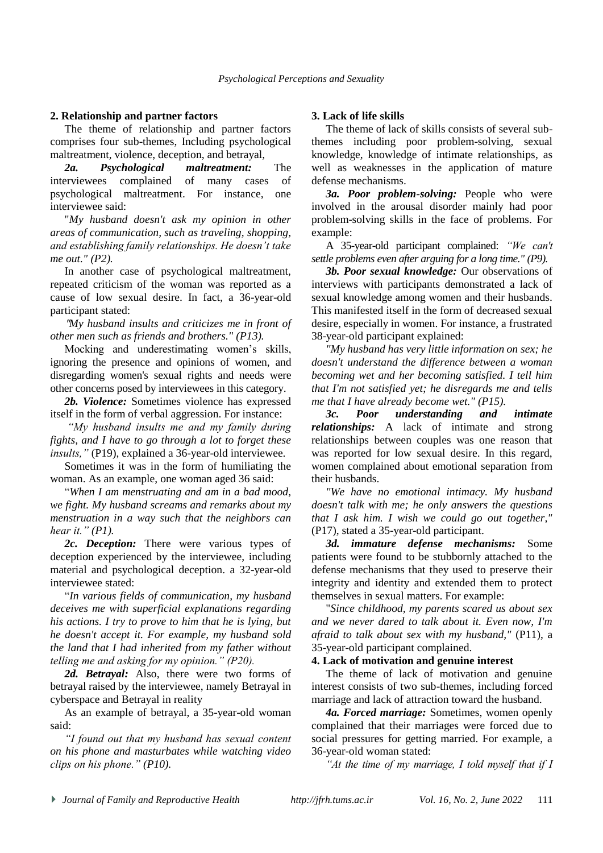#### **2. Relationship and partner factors**

The theme of relationship and partner factors comprises four sub-themes, Including psychological maltreatment, violence, deception, and betrayal,

*2a. Psychological maltreatment:* The interviewees complained of many cases of psychological maltreatment. For instance, one interviewee said:

"*My husband doesn't ask my opinion in other areas of communication, such as traveling, shopping, and establishing family relationships. He doesn't take me out." (P2).*

In another case of psychological maltreatment, repeated criticism of the woman was reported as a cause of low sexual desire. In fact, a 36-year-old participant stated:

"*My husband insults and criticizes me in front of other men such as friends and brothers." (P13).*

Mocking and underestimating women's skills, ignoring the presence and opinions of women, and disregarding women's sexual rights and needs were other concerns posed by interviewees in this category.

*2b. Violence:* Sometimes violence has expressed itself in the form of verbal aggression. For instance:

*"My husband insults me and my family during fights, and I have to go through a lot to forget these insults,"* (P19), explained a 36-year-old interviewee.

Sometimes it was in the form of humiliating the woman. As an example, one woman aged 36 said:

"*When I am menstruating and am in a bad mood, we fight. My husband screams and remarks about my menstruation in a way such that the neighbors can hear it." (P1).*

*2c. Deception:* There were various types of deception experienced by the interviewee, including material and psychological deception. a 32-year-old interviewee stated:

"*In various fields of communication, my husband deceives me with superficial explanations regarding his actions. I try to prove to him that he is lying, but he doesn't accept it. For example, my husband sold the land that I had inherited from my father without telling me and asking for my opinion." (P20).*

2d. Betrayal: Also, there were two forms of betrayal raised by the interviewee, namely Betrayal in cyberspace and Betrayal in reality

As an example of betrayal, a 35-year-old woman said:

*"I found out that my husband has sexual content on his phone and masturbates while watching video clips on his phone." (P10).*

#### **3. Lack of life skills**

The theme of lack of skills consists of several subthemes including poor problem-solving, sexual knowledge, knowledge of intimate relationships, as well as weaknesses in the application of mature defense mechanisms.

*3a. Poor problem-solving:* People who were involved in the arousal disorder mainly had poor problem-solving skills in the face of problems. For example:

A 35-year-old participant complained: *"We can't settle problems even after arguing for a long time." (P9).*

*3b. Poor sexual knowledge:* Our observations of interviews with participants demonstrated a lack of sexual knowledge among women and their husbands. This manifested itself in the form of decreased sexual desire, especially in women. For instance, a frustrated 38-year-old participant explained:

*"My husband has very little information on sex; he doesn't understand the difference between a woman becoming wet and her becoming satisfied. I tell him that I'm not satisfied yet; he disregards me and tells me that I have already become wet." (P15).*

*3c. Poor understanding and intimate relationships:* A lack of intimate and strong relationships between couples was one reason that was reported for low sexual desire. In this regard, women complained about emotional separation from their husbands.

*"We have no emotional intimacy. My husband doesn't talk with me; he only answers the questions that I ask him. I wish we could go out together,"* (P17), stated a 35-year-old participant.

*3d. immature defense mechanisms:* Some patients were found to be stubbornly attached to the defense mechanisms that they used to preserve their integrity and identity and extended them to protect themselves in sexual matters. For example:

"*Since childhood, my parents scared us about sex and we never dared to talk about it. Even now, I'm afraid to talk about sex with my husband,"* (P11), a 35-year-old participant complained.

#### **4. Lack of motivation and genuine interest**

The theme of lack of motivation and genuine interest consists of two sub-themes, including forced marriage and lack of attraction toward the husband.

*4a. Forced marriage:* Sometimes, women openly complained that their marriages were forced due to social pressures for getting married. For example, a 36-year-old woman stated:

*"At the time of my marriage, I told myself that if I*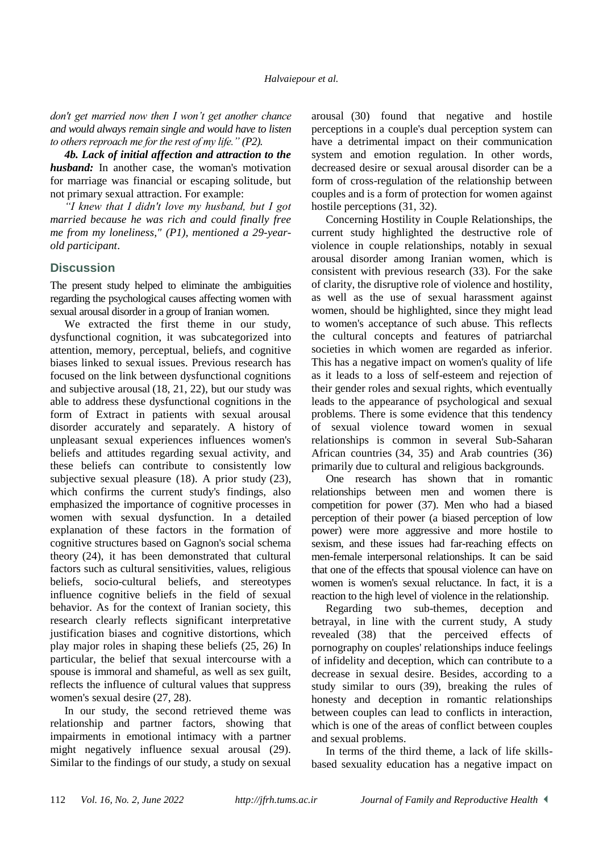*don't get married now then I won't get another chance and would always remain single and would have to listen to others reproach me for the rest of my life." (P2).*

*4b. Lack of initial affection and attraction to the husband:* In another case, the woman's motivation for marriage was financial or escaping solitude, but not primary sexual attraction. For example:

*"I knew that I didn't love my husband, but I got married because he was rich and could finally free me from my loneliness," (P1), mentioned a 29-yearold participant*.

## **Discussion**

The present study helped to eliminate the ambiguities regarding the psychological causes affecting women with sexual arousal disorder in a group of Iranian women.

We extracted the first theme in our study, dysfunctional cognition, it was subcategorized into attention, memory, perceptual, beliefs, and cognitive biases linked to sexual issues. Previous research has focused on the link between dysfunctional cognitions and subjective arousal (18, 21, 22), but our study was able to address these dysfunctional cognitions in the form of Extract in patients with sexual arousal disorder accurately and separately. A history of unpleasant sexual experiences influences women's beliefs and attitudes regarding sexual activity, and these beliefs can contribute to consistently low subjective sexual pleasure (18). A prior study (23), which confirms the current study's findings, also emphasized the importance of cognitive processes in women with sexual dysfunction. In a detailed explanation of these factors in the formation of cognitive structures based on Gagnon's social schema theory (24), it has been demonstrated that cultural factors such as cultural sensitivities, values, religious beliefs, socio-cultural beliefs, and stereotypes influence cognitive beliefs in the field of sexual behavior. As for the context of Iranian society, this research clearly reflects significant interpretative justification biases and cognitive distortions, which play major roles in shaping these beliefs (25, 26) In particular, the belief that sexual intercourse with a spouse is immoral and shameful, as well as sex guilt, reflects the influence of cultural values that suppress women's sexual desire (27, 28).

In our study, the second retrieved theme was relationship and partner factors, showing that impairments in emotional intimacy with a partner might negatively influence sexual arousal (29). Similar to the findings of our study, a study on sexual arousal (30) found that negative and hostile perceptions in a couple's dual perception system can have a detrimental impact on their communication system and emotion regulation. In other words, decreased desire or sexual arousal disorder can be a form of cross-regulation of the relationship between couples and is a form of protection for women against hostile perceptions (31, 32).

Concerning Hostility in Couple Relationships, the current study highlighted the destructive role of violence in couple relationships, notably in sexual arousal disorder among Iranian women, which is consistent with previous research (33). For the sake of clarity, the disruptive role of violence and hostility, as well as the use of sexual harassment against women, should be highlighted, since they might lead to women's acceptance of such abuse. This reflects the cultural concepts and features of patriarchal societies in which women are regarded as inferior. This has a negative impact on women's quality of life as it leads to a loss of self-esteem and rejection of their gender roles and sexual rights, which eventually leads to the appearance of psychological and sexual problems. There is some evidence that this tendency of sexual violence toward women in sexual relationships is common in several Sub-Saharan African countries (34, 35) and Arab countries (36) primarily due to cultural and religious backgrounds.

One research has shown that in romantic relationships between men and women there is competition for power (37). Men who had a biased perception of their power (a biased perception of low power) were more aggressive and more hostile to sexism, and these issues had far-reaching effects on men-female interpersonal relationships. It can be said that one of the effects that spousal violence can have on women is women's sexual reluctance. In fact, it is a reaction to the high level of violence in the relationship.

Regarding two sub-themes, deception and betrayal, in line with the current study, A study revealed (38) that the perceived effects of pornography on couples' relationships induce feelings of infidelity and deception, which can contribute to a decrease in sexual desire. Besides, according to a study similar to ours (39), breaking the rules of honesty and deception in romantic relationships between couples can lead to conflicts in interaction, which is one of the areas of conflict between couples and sexual problems.

In terms of the third theme, a lack of life skillsbased sexuality education has a negative impact on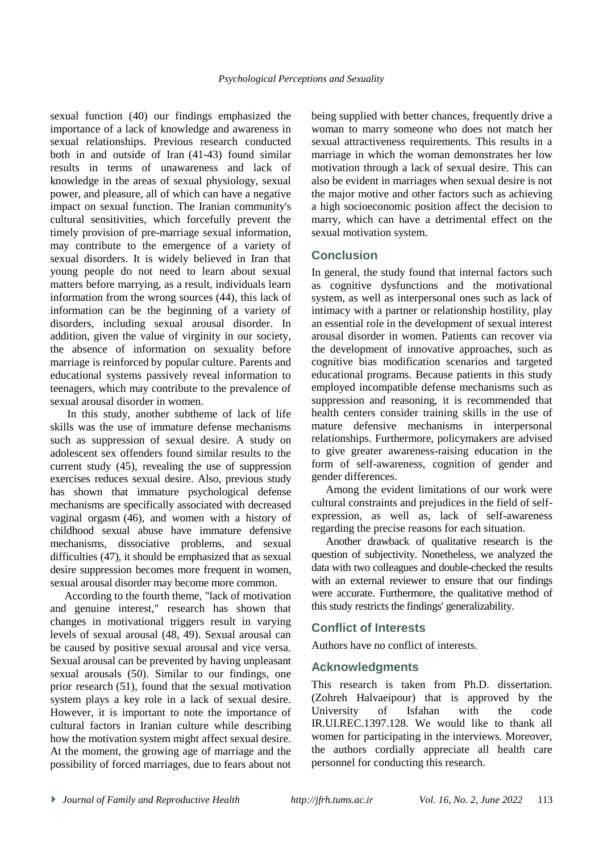sexual function (40) our findings emphasized the importance of a lack of knowledge and awareness in sexual relationships. Previous research conducted both in and outside of Iran (41-43) found similar results in terms of unawareness and lack of knowledge in the areas of sexual physiology, sexual power, and pleasure, all of which can have a negative impact on sexual function. The Iranian community's cultural sensitivities, which forcefully prevent the timely provision of pre-marriage sexual information, may contribute to the emergence of a variety of sexual disorders. It is widely believed in Iran that young people do not need to learn about sexual matters before marrying, as a result, individuals learn information from the wrong sources (44), this lack of information can be the beginning of a variety of disorders, including sexual arousal disorder. In addition, given the value of virginity in our society, the absence of information on sexuality before marriage is reinforced by popular culture. Parents and educational systems passively reveal information to teenagers, which may contribute to the prevalence of sexual arousal disorder in women.

In this study, another subtheme of lack of life skills was the use of immature defense mechanisms such as suppression of sexual desire. A study on adolescent sex offenders found similar results to the current study (45), revealing the use of suppression exercises reduces sexual desire. Also, previous study has shown that immature psychological defense mechanisms are specifically associated with decreased vaginal orgasm (46), and women with a history of childhood sexual abuse have immature defensive mechanisms, dissociative problems, and sexual difficulties (47), it should be emphasized that as sexual desire suppression becomes more frequent in women, sexual arousal disorder may become more common.

According to the fourth theme, "lack of motivation and genuine interest," research has shown that changes in motivational triggers result in varying levels of sexual arousal (48, 49). Sexual arousal can be caused by positive sexual arousal and vice versa. Sexual arousal can be prevented by having unpleasant sexual arousals (50). Similar to our findings, one prior research (51), found that the sexual motivation system plays a key role in a lack of sexual desire. However, it is important to note the importance of cultural factors in Iranian culture while describing how the motivation system might affect sexual desire. At the moment, the growing age of marriage and the possibility of forced marriages, due to fears about not being supplied with better chances, frequently drive a woman to marry someone who does not match her sexual attractiveness requirements. This results in a marriage in which the woman demonstrates her low motivation through a lack of sexual desire. This can also be evident in marriages when sexual desire is not the major motive and other factors such as achieving a high socioeconomic position affect the decision to marry, which can have a detrimental effect on the sexual motivation system.

## **Conclusion**

In general, the study found that internal factors such as cognitive dysfunctions and the motivational system, as well as interpersonal ones such as lack of intimacy with a partner or relationship hostility, play an essential role in the development of sexual interest arousal disorder in women. Patients can recover via the development of innovative approaches, such as cognitive bias modification scenarios and targeted educational programs. Because patients in this study employed incompatible defense mechanisms such as suppression and reasoning, it is recommended that health centers consider training skills in the use of mature defensive mechanisms in interpersonal relationships. Furthermore, policymakers are advised to give greater awareness-raising education in the form of self-awareness, cognition of gender and gender differences.

Among the evident limitations of our work were cultural constraints and prejudices in the field of selfexpression, as well as, lack of self-awareness regarding the precise reasons for each situation.

Another drawback of qualitative research is the question of subjectivity. Nonetheless, we analyzed the data with two colleagues and double-checked the results with an external reviewer to ensure that our findings were accurate. Furthermore, the qualitative method of this study restricts the findings' generalizability.

# **Conflict of Interests**

Authors have no conflict of interests.

### **Acknowledgments**

This research is taken from Ph.D. dissertation. (Zohreh Halvaeipour) that is approved by the University of Isfahan with the code IR.UI.REC.1397.128. We would like to thank all women for participating in the interviews. Moreover, the authors cordially appreciate all health care personnel for conducting this research.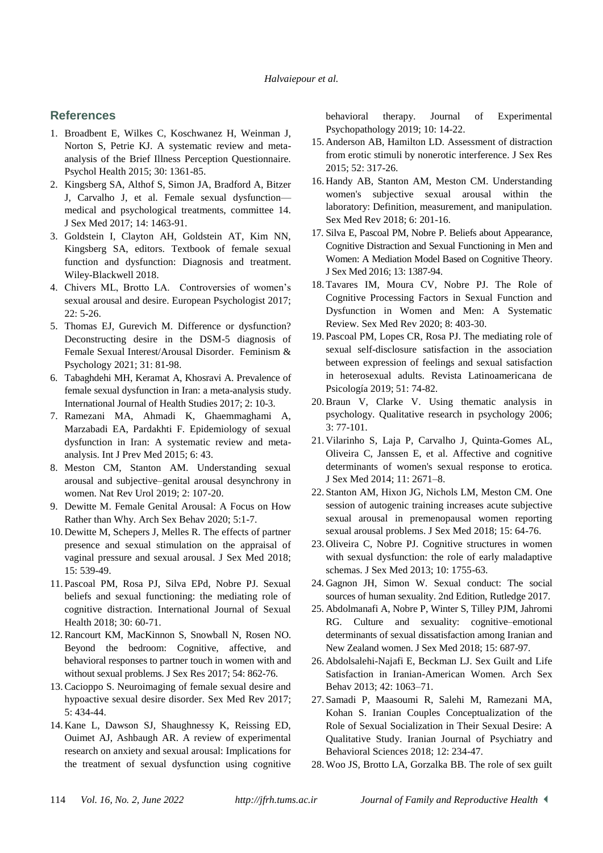#### **References**

- 1. Broadbent E, Wilkes C, Koschwanez H, Weinman J, Norton S, Petrie KJ. A systematic review and metaanalysis of the Brief Illness Perception Questionnaire. Psychol Health 2015; 30: 1361-85.
- 2. Kingsberg SA, Althof S, Simon JA, Bradford A, Bitzer J, Carvalho J, et al. Female sexual dysfunction medical and psychological treatments, committee 14. J Sex Med 2017; 14: 1463-91.
- 3. Goldstein I, Clayton AH, Goldstein AT, Kim NN, Kingsberg SA, editors. Textbook of female sexual function and dysfunction: Diagnosis and treatment. Wiley-Blackwell 2018.
- 4. Chivers ML, Brotto LA. Controversies of women's sexual arousal and desire. European Psychologist 2017; 22: 5-26.
- 5. Thomas EJ, Gurevich M. Difference or dysfunction? Deconstructing desire in the DSM-5 diagnosis of Female Sexual Interest/Arousal Disorder. Feminism & Psychology 2021; 31: 81-98.
- 6. Tabaghdehi MH, Keramat A, Khosravi A. Prevalence of female sexual dysfunction in Iran: a meta-analysis study. International Journal of Health Studies 2017; 2: 10-3.
- 7. Ramezani MA, Ahmadi K, Ghaemmaghami A, Marzabadi EA, Pardakhti F. Epidemiology of sexual dysfunction in Iran: A systematic review and metaanalysis. Int J Prev Med 2015; 6: 43.
- 8. Meston CM, Stanton AM. Understanding sexual arousal and subjective–genital arousal desynchrony in women. Nat Rev Urol 2019; 2: 107-20.
- 9. Dewitte M. Female Genital Arousal: A Focus on How Rather than Why. Arch Sex Behav 2020; 5:1-7.
- 10. Dewitte M, Schepers J, Melles R. The effects of partner presence and sexual stimulation on the appraisal of vaginal pressure and sexual arousal. J Sex Med 2018; 15: 539-49.
- 11. Pascoal PM, Rosa PJ, Silva EPd, Nobre PJ. Sexual beliefs and sexual functioning: the mediating role of cognitive distraction. International Journal of Sexual Health 2018; 30: 60-71.
- 12. Rancourt KM, MacKinnon S, Snowball N, Rosen NO. Beyond the bedroom: Cognitive, affective, and behavioral responses to partner touch in women with and without sexual problems. J Sex Res 2017; 54: 862-76.
- 13.Cacioppo S. Neuroimaging of female sexual desire and hypoactive sexual desire disorder. Sex Med Rev 2017; 5: 434-44.
- 14. Kane L, Dawson SJ, Shaughnessy K, Reissing ED, Ouimet AJ, Ashbaugh AR. A review of experimental research on anxiety and sexual arousal: Implications for the treatment of sexual dysfunction using cognitive

behavioral therapy. Journal of Experimental Psychopathology 2019; 10: 14-22.

- 15. Anderson AB, Hamilton LD. Assessment of distraction from erotic stimuli by nonerotic interference. J Sex Res 2015; 52: 317-26.
- 16. Handy AB, Stanton AM, Meston CM. Understanding women's subjective sexual arousal within the laboratory: Definition, measurement, and manipulation. Sex Med Rev 2018; 6: 201-16.
- 17. Silva E, Pascoal PM, Nobre P. Beliefs about Appearance, Cognitive Distraction and Sexual Functioning in Men and Women: A Mediation Model Based on Cognitive Theory. J Sex Med 2016; 13: 1387-94.
- 18. Tavares IM, Moura CV, Nobre PJ. The Role of Cognitive Processing Factors in Sexual Function and Dysfunction in Women and Men: A Systematic Review. Sex Med Rev 2020; 8: 403-30.
- 19. Pascoal PM, Lopes CR, Rosa PJ. The mediating role of sexual self-disclosure satisfaction in the association between expression of feelings and sexual satisfaction in heterosexual adults. Revista Latinoamericana de Psicología 2019; 51: 74-82.
- 20.Braun V, Clarke V. Using thematic analysis in psychology. Qualitative research in psychology 2006; 3: 77-101.
- 21. Vilarinho S, Laja P, Carvalho J, Quinta-Gomes AL, Oliveira C, Janssen E, et al. Affective and cognitive determinants of women's sexual response to erotica. J Sex Med 2014; 11: 2671–8.
- 22. Stanton AM, Hixon JG, Nichols LM, Meston CM. One session of autogenic training increases acute subjective sexual arousal in premenopausal women reporting sexual arousal problems. J Sex Med 2018; 15: 64-76.
- 23. Oliveira C, Nobre PJ. Cognitive structures in women with sexual dysfunction: the role of early maladaptive schemas. J Sex Med 2013; 10: 1755-63.
- 24. Gagnon JH, Simon W. Sexual conduct: The social sources of human sexuality. 2nd Edition, Rutledge 2017.
- 25. Abdolmanafi A, Nobre P, Winter S, Tilley PJM, Jahromi RG. Culture and sexuality: cognitive–emotional determinants of sexual dissatisfaction among Iranian and New Zealand women. J Sex Med 2018; 15: 687-97.
- 26. Abdolsalehi-Najafi E, Beckman LJ. Sex Guilt and Life Satisfaction in Iranian-American Women. Arch Sex Behav 2013; 42: 1063–71.
- 27. Samadi P, Maasoumi R, Salehi M, Ramezani MA, Kohan S. Iranian Couples Conceptualization of the Role of Sexual Socialization in Their Sexual Desire: A Qualitative Study. [Iranian Journal of Psychiatry and](https://www.sid.ir/en/Journal/JournalList.aspx?ID=10615)  [Behavioral Sciences 2](https://www.sid.ir/en/Journal/JournalList.aspx?ID=10615)018; 12: 234-47.
- 28. Woo JS, Brotto LA, Gorzalka BB. The role of sex guilt